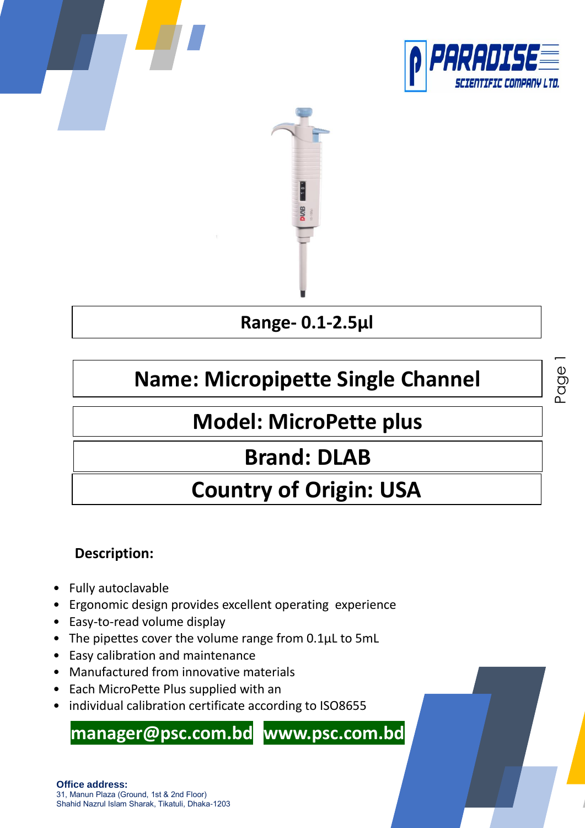

Page



### **Range- 0.1-2.5µl**

# **Name: Micropipette Single Channel**

## **Model: MicroPette plus**

## **Brand: DLAB**

# **Country of Origin: USA**

#### **Description:**

- Fully autoclavable
- Ergonomic design provides excellent operating experience
- Easy-to-read volume display
- The pipettes cover the volume range from 0.1μL to 5mL
- Easy calibration and maintenance
- Manufactured from innovative materials
- Each MicroPette Plus supplied with an
- individual calibration certificate according to ISO8655

### **manager@psc.com.bd www.psc.com.bd**